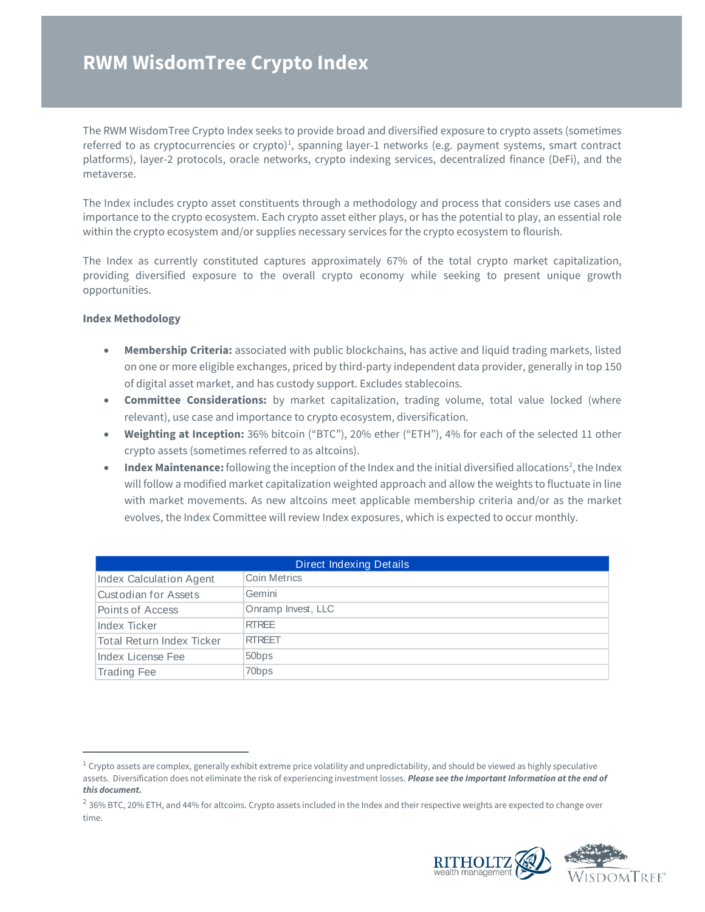# **RWM WisdomTree Crypto Index**

The RWM WisdomTree Crypto Index seeks to provide broad and diversified exposure to crypto assets (sometimes referred to as cryptocurrencies or crypto)<sup>1</sup>, spanning layer-1 networks (e.g. payment systems, smart contract platforms), layer-2 protocols, oracle networks, crypto indexing services, decentralized finance (DeFi), and the metaverse.

The Index includes crypto asset constituents through a methodology and process that considers use cases and importance to the crypto ecosystem. Each crypto asset either plays, or has the potential to play, an essential role within the crypto ecosystem and/or supplies necessary services for the crypto ecosystem to flourish.

The Index as currently constituted captures approximately 67% of the total crypto market capitalization, providing diversified exposure to the overall crypto economy while seeking to present unique growth opportunities.

# **Index Methodology**

- **Membership Criteria:** associated with public blockchains, has active and liquid trading markets, listed on one or more eligible exchanges, priced by third-party independent data provider, generally in top 150 of digital asset market, and has custody support. Excludes stablecoins.
- **Committee Considerations:** by market capitalization, trading volume, total value locked (where relevant), use case and importance to crypto ecosystem, diversification.
- **Weighting at Inception:** 36% bitcoin ("BTC"), 20% ether ("ETH"), 4% for each of the selected 11 other crypto assets (sometimes referred to as altcoins).
- Index Maintenance: following the inception of the Index and the initial diversified allocations<sup>2</sup>, the Index will follow a modified market capitalization weighted approach and allow the weights to fluctuate in line with market movements. As new altcoins meet applicable membership criteria and/or as the market evolves, the Index Committee will review Index exposures, which is expected to occur monthly.

| <b>Direct Indexing Details</b> |                    |  |  |  |  |
|--------------------------------|--------------------|--|--|--|--|
| Index Calculation Agent        | Coin Metrics       |  |  |  |  |
| Custodian for Assets           | Gemini             |  |  |  |  |
| Points of Access               | Onramp Invest, LLC |  |  |  |  |
| Index Ticker                   | <b>RTRFF</b>       |  |  |  |  |
| Total Return Index Ticker      | <b>RTREET</b>      |  |  |  |  |
| Index License Fee              | 50 <sub>bps</sub>  |  |  |  |  |
| <b>Trading Fee</b>             | 70 <sub>bps</sub>  |  |  |  |  |

 $^2$  36% BTC, 20% ETH, and 44% for altcoins. Crypto assets included in the Index and their respective weights are expected to change over time.



 $1$  Crypto assets are complex, generally exhibit extreme price volatility and unpredictability, and should be viewed as highly speculative assets. Diversification does not eliminate the risk of experiencing investment losses. *Please see the Important Information at the end of this document.*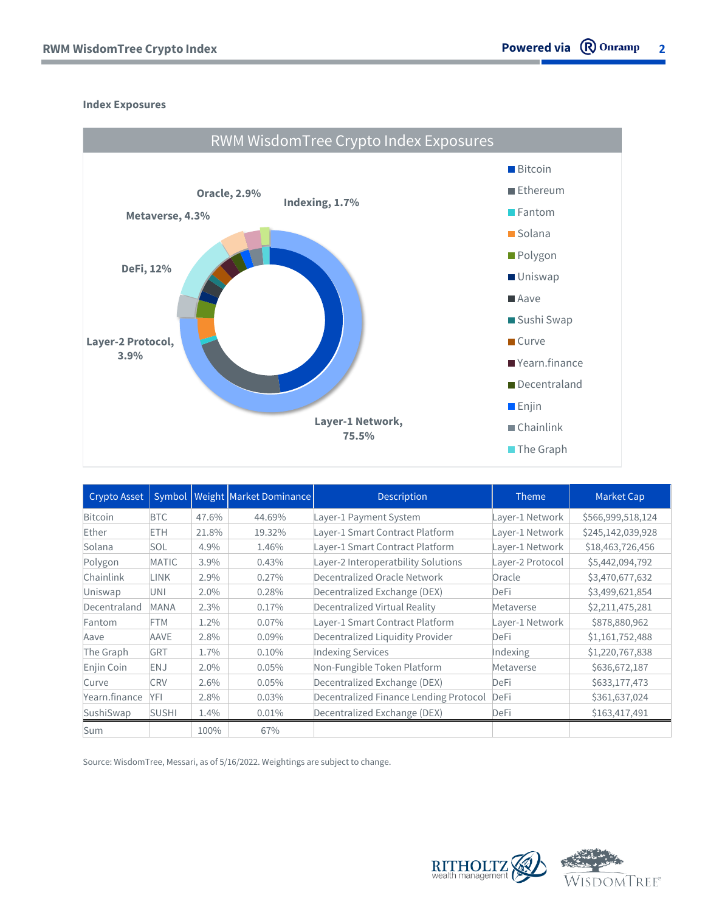# **Index Exposures**



| Crypto Asset  |              |       | Symbol   Weight   Market Dominance | <b>Description</b>                     | <b>Theme</b>     | Market Cap        |
|---------------|--------------|-------|------------------------------------|----------------------------------------|------------------|-------------------|
| Bitcoin       | <b>BTC</b>   | 47.6% | 44.69%                             | Layer-1 Payment System                 | Layer-1 Network  | \$566,999,518,124 |
| Ether         | <b>ETH</b>   | 21.8% | 19.32%                             | Layer-1 Smart Contract Platform        | Layer-1 Network  | \$245,142,039,928 |
| Solana        | <b>SOL</b>   | 4.9%  | 1.46%                              | Layer-1 Smart Contract Platform        | Layer-1 Network  | \$18,463,726,456  |
| Polygon       | MATIC        | 3.9%  | 0.43%                              | Layer-2 Interoperatbility Solutions    | Layer-2 Protocol | \$5,442,094,792   |
| Chainlink     | <b>LINK</b>  | 2.9%  | 0.27%                              | Decentralized Oracle Network           | Oracle           | \$3,470,677,632   |
| Uniswap       | UNI          | 2.0%  | 0.28%                              | Decentralized Exchange (DEX)           | <b>DeFi</b>      | \$3,499,621,854   |
| Decentraland  | <b>MANA</b>  | 2.3%  | 0.17%                              | Decentralized Virtual Reality          | Metaverse        | \$2,211,475,281   |
| Fantom        | FTM          | 1.2%  | $0.07\%$                           | Layer-1 Smart Contract Platform        | Layer-1 Network  | \$878,880,962     |
| Aave          | <b>AAVE</b>  | 2.8%  | $0.09\%$                           | Decentralized Liquidity Provider       | DeFi             | \$1,161,752,488   |
| The Graph     | <b>GRT</b>   | 1.7%  | 0.10%                              | <b>Indexing Services</b>               | Indexing         | \$1,220,767,838   |
| Enjin Coin    | <b>ENJ</b>   | 2.0%  | 0.05%                              | Non-Fungible Token Platform            | Metaverse        | \$636,672,187     |
| Curve         | <b>CRV</b>   | 2.6%  | 0.05%                              | Decentralized Exchange (DEX)           | DeFi             | \$633,177,473     |
| Yearn.finance | YFI          | 2.8%  | 0.03%                              | Decentralized Finance Lending Protocol | <b>DeFi</b>      | \$361,637,024     |
| SushiSwap     | <b>SUSHI</b> | 1.4%  | 0.01%                              | Decentralized Exchange (DEX)           | DeFi             | \$163,417,491     |
| Sum           |              | 100%  | 67%                                |                                        |                  |                   |

Source: WisdomTree, Messari, as of 5/16/2022. Weightings are subject to change.

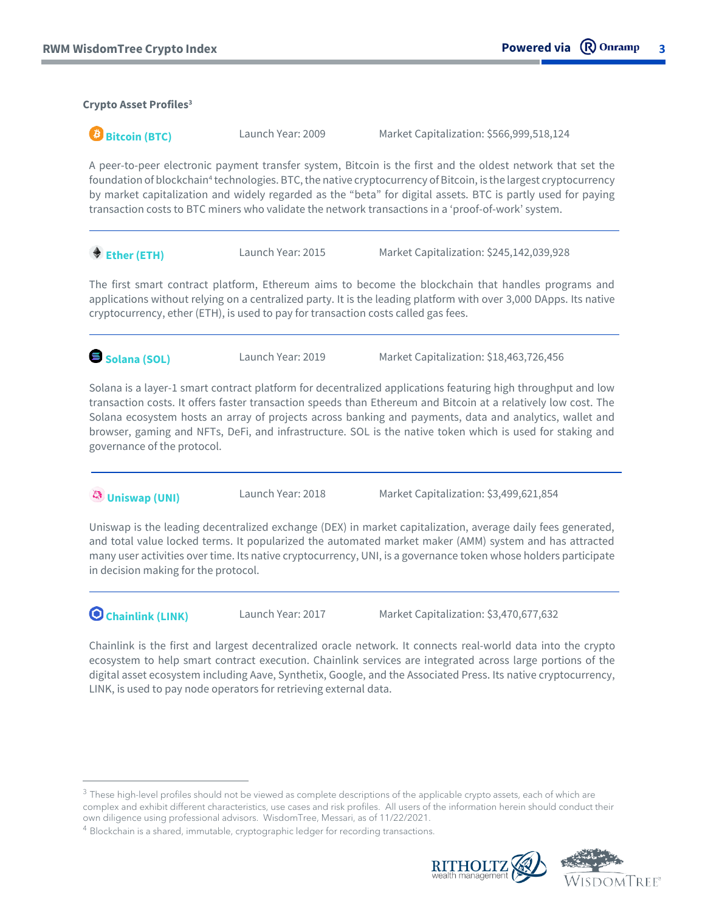# **Crypto Asset Profiles<sup>3</sup>**

**Bitcoin (BTC)** Launch Year: 2009 Market Capitalization: \$566,999,518,124

A peer-to-peer electronic payment transfer system, Bitcoin is the first and the oldest network that set the foundation of blockchain<sup>4</sup> technologies. BTC, the native cryptocurrency of Bitcoin, is the largest cryptocurrency by market capitalization and widely regarded as the "beta" for digital assets. BTC is partly used for paying transaction costs to BTC miners who validate the network transactions in a 'proof-of-work' system.

◆ Ether (ETH) Launch Year: 2015 Market Capitalization: \$245,142,039,928

The first smart contract platform, Ethereum aims to become the blockchain that handles programs and applications without relying on a centralized party. It is the leading platform with over 3,000 DApps. Its native cryptocurrency, ether (ETH), is used to pay for transaction costs called gas fees.

**Solana (SOL)** Launch Year: 2019 Market Capitalization: \$18,463,726,456

Solana is a layer-1 smart contract platform for decentralized applications featuring high throughput and low transaction costs. It offers faster transaction speeds than Ethereum and Bitcoin at a relatively low cost. The Solana ecosystem hosts an array of projects across banking and payments, data and analytics, wallet and browser, gaming and NFTs, DeFi, and infrastructure. SOL is the native token which is used for staking and governance of the protocol.

**Uniswap (UNI)** Launch Year: 2018 Market Capitalization: \$3,499,621,854

Uniswap is the leading decentralized exchange (DEX) in market capitalization, average daily fees generated, and total value locked terms. It popularized the automated market maker (AMM) system and has attracted many user activities over time. Its native cryptocurrency, UNI, is a governance token whose holders participate in decision making for the protocol.

**O chainlink (LINK)** Launch Year: 2017 Market Capitalization: \$3,470,677,632

Chainlink is the first and largest decentralized oracle network. It connects real-world data into the crypto ecosystem to help smart contract execution. Chainlink services are integrated across large portions of the digital asset ecosystem including Aave, Synthetix, Google, and the Associated Press. Its native cryptocurrency, LINK, is used to pay node operators for retrieving external data.

 $4$  Blockchain is a shared, immutable, cryptographic ledger for recording transactions.



 $^3$  These high-level profiles should not be viewed as complete descriptions of the applicable crypto assets, each of which are complex and exhibit different characteristics, use cases and risk profiles. All users of the information herein should conduct their own diligence using professional advisors. WisdomTree, Messari, as of 11/22/2021.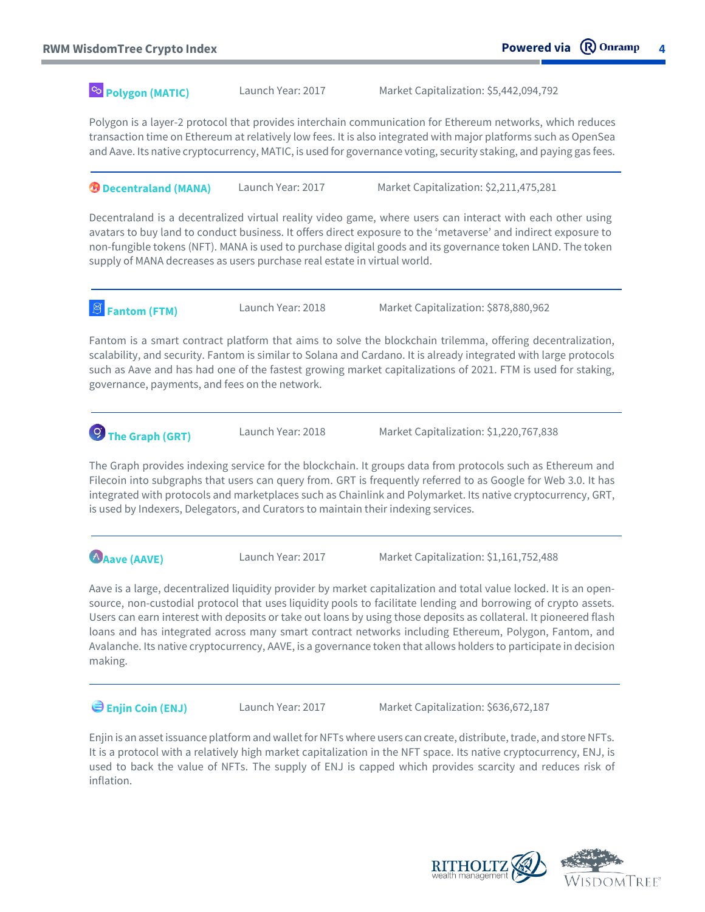**Polygon (MATIC)**

Launch Year: 2017 Market Capitalization: \$5,442,094,792

Polygon is a layer-2 protocol that provides interchain communication for Ethereum networks, which reduces transaction time on Ethereum at relatively low fees. It is also integrated with major platforms such as OpenSea and Aave. Its native cryptocurrency, MATIC, is used for governance voting, security staking, and paying gas fees.

**D** Decentraland (MANA) Launch Year: 2017 Market Capitalization: \$2,211,475,281

Decentraland is a decentralized virtual reality video game, where users can interact with each other using avatars to buy land to conduct business. It offers direct exposure to the 'metaverse' and indirect exposure to non-fungible tokens (NFT). MANA is used to purchase digital goods and its governance token LAND. The token supply of MANA decreases as users purchase real estate in virtual world.

**Fantom (FTM)** Launch Year: 2018 Market Capitalization: \$878,880,962

Fantom is a smart contract platform that aims to solve the blockchain trilemma, offering decentralization, scalability, and security. Fantom is similar to Solana and Cardano. It is already integrated with large protocols such as Aave and has had one of the fastest growing market capitalizations of 2021. FTM is used for staking, governance, payments, and fees on the network.

**The Graph (GRT)** Launch Year: 2018 Market Capitalization: \$1,220,767,838

The Graph provides indexing service for the blockchain. It groups data from protocols such as Ethereum and Filecoin into subgraphs that users can query from. GRT is frequently referred to as Google for Web 3.0. It has integrated with protocols and marketplaces such as Chainlink and Polymarket. Its native cryptocurrency, GRT, is used by Indexers, Delegators, and Curators to maintain their indexing services.

**Aave (AAVE)** Launch Year: 2017 Market Capitalization: \$1,161,752,488

Aave is a large, decentralized liquidity provider by market capitalization and total value locked. It is an opensource, non-custodial protocol that uses liquidity pools to facilitate lending and borrowing of crypto assets. Users can earn interest with deposits or take out loans by using those deposits as collateral. It pioneered flash loans and has integrated across many smart contract networks including Ethereum, Polygon, Fantom, and Avalanche. Its native cryptocurrency, AAVE, is a governance token that allows holders to participate in decision making.

**Enjin Coin (ENJ)** Launch Year: 2017 Market Capitalization: \$636,672,187

Enjin is an asset issuance platform and wallet for NFTs where users can create, distribute, trade, and store NFTs. It is a protocol with a relatively high market capitalization in the NFT space. Its native cryptocurrency, ENJ, is used to back the value of NFTs. The supply of ENJ is capped which provides scarcity and reduces risk of inflation.

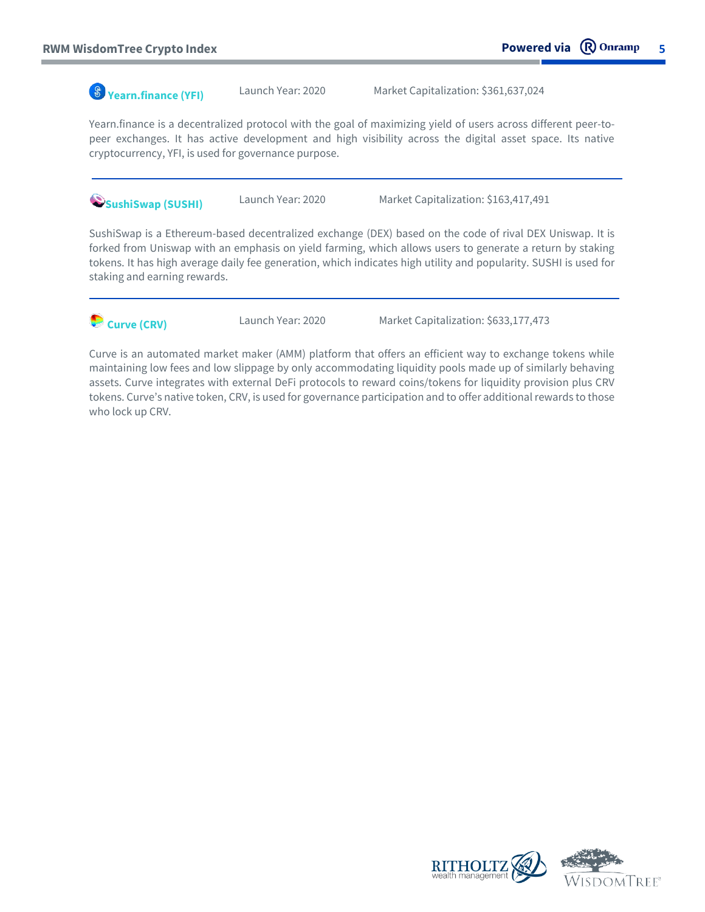**Yearn.finance (YFI)** Launch Year: 2020 Market Capitalization: \$361,637,024

Yearn.finance is a decentralized protocol with the goal of maximizing yield of users across different peer-topeer exchanges. It has active development and high visibility across the digital asset space. Its native cryptocurrency, YFI, is used for governance purpose.

**SushiSwap (SUSHI)** Launch Year: 2020 Market Capitalization: \$163,417,491

SushiSwap is a Ethereum-based decentralized exchange (DEX) based on the code of rival DEX Uniswap. It is forked from Uniswap with an emphasis on yield farming, which allows users to generate a return by staking tokens. It has high average daily fee generation, which indicates high utility and popularity. SUSHI is used for staking and earning rewards.



**Curve (CRV)** Launch Year: 2020 Market Capitalization: \$633,177,473

Curve is an automated market maker (AMM) platform that offers an efficient way to exchange tokens while maintaining low fees and low slippage by only accommodating liquidity pools made up of similarly behaving assets. Curve integrates with external DeFi protocols to reward coins/tokens for liquidity provision plus CRV tokens. Curve's native token, CRV, is used for governance participation and to offer additional rewards to those who lock up CRV.



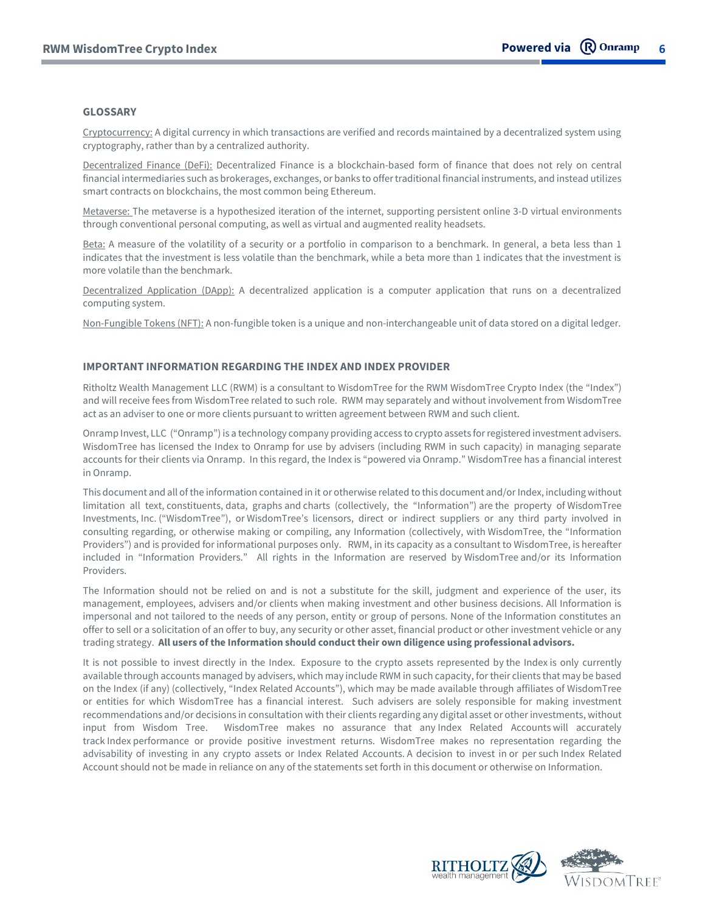### **GLOSSARY**

Cryptocurrency: A digital currency in which transactions are verified and records maintained by a decentralized system using cryptography, rather than by a centralized authority.

Decentralized Finance (DeFi): Decentralized Finance is a blockchain-based form of finance that does not rely on central financial intermediaries such as brokerages, exchanges, or banks to offer traditional financial instruments, and instead utilizes smart contracts on blockchains, the most common being Ethereum.

Metaverse: The metaverse is a hypothesized iteration of the internet, supporting persistent online 3-D virtual environments through conventional personal computing, as well as virtual and augmented reality headsets.

Beta: A measure of the volatility of a security or a portfolio in comparison to a benchmark. In general, a beta less than 1 indicates that the investment is less volatile than the benchmark, while a beta more than 1 indicates that the investment is more volatile than the benchmark.

Decentralized Application (DApp): A decentralized application is a computer application that runs on a decentralized computing system.

Non-Fungible Tokens (NFT): A non-fungible token is a unique and non-interchangeable unit of data stored on a digital ledger.

### **IMPORTANT INFORMATION REGARDING THE INDEX AND INDEX PROVIDER**

Ritholtz Wealth Management LLC (RWM) is a consultant to WisdomTree for the RWM WisdomTree Crypto Index (the "Index") and will receive fees from WisdomTree related to such role. RWM may separately and without involvement from WisdomTree act as an adviser to one or more clients pursuant to written agreement between RWM and such client.

Onramp Invest, LLC ("Onramp") is a technology company providing access to crypto assets for registered investment advisers. WisdomTree has licensed the Index to Onramp for use by advisers (including RWM in such capacity) in managing separate accounts for their clients via Onramp. In this regard, the Index is "powered via Onramp." WisdomTree has a financial interest in Onramp.

This document and all of the information contained in it or otherwise related to this document and/or Index, including without limitation all text, constituents, data, graphs and charts (collectively, the "Information") are the property of WisdomTree Investments, Inc. ("WisdomTree"), or WisdomTree's licensors, direct or indirect suppliers or any third party involved in consulting regarding, or otherwise making or compiling, any Information (collectively, with WisdomTree, the "Information Providers") and is provided for informational purposes only. RWM, in its capacity as a consultant to WisdomTree, is hereafter included in "Information Providers." All rights in the Information are reserved by WisdomTree and/or its Information Providers.

The Information should not be relied on and is not a substitute for the skill, judgment and experience of the user, its management, employees, advisers and/or clients when making investment and other business decisions. All Information is impersonal and not tailored to the needs of any person, entity or group of persons. None of the Information constitutes an offer to sell or a solicitation of an offer to buy, any security or other asset, financial product or other investment vehicle or any trading strategy. **All users of the Information should conduct their own diligence using professional advisors.** 

It is not possible to invest directly in the Index. Exposure to the crypto assets represented by the Index is only currently available through accounts managed by advisers, which may include RWM in such capacity, for their clients that may be based on the Index (if any) (collectively, "Index Related Accounts"), which may be made available through affiliates of WisdomTree or entities for which WisdomTree has a financial interest. Such advisers are solely responsible for making investment recommendations and/or decisions in consultation with their clients regarding any digital asset or other investments, without input from Wisdom Tree. WisdomTree makes no assurance that any Index Related Accounts will accurately track Index performance or provide positive investment returns. WisdomTree makes no representation regarding the advisability of investing in any crypto assets or Index Related Accounts. A decision to invest in or per such Index Related Account should not be made in reliance on any of the statements set forth in this document or otherwise on Information.